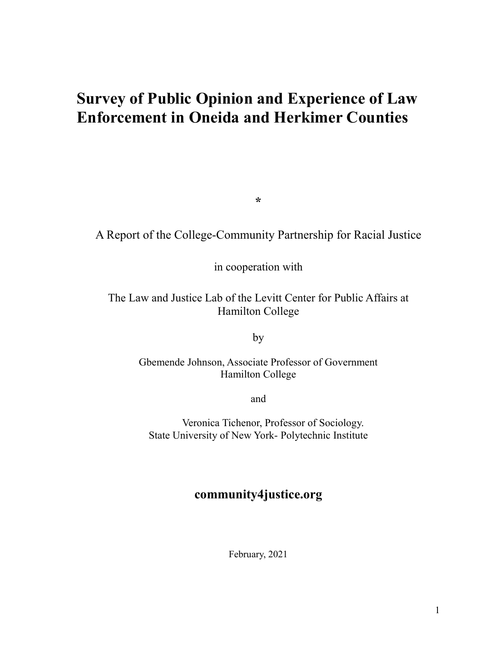# **Survey of Public Opinion and Experience of Law Enforcement in Oneida and Herkimer Counties**

**\***

A Report of the College-Community Partnership for Racial Justice

in cooperation with

The Law and Justice Lab of the Levitt Center for Public Affairs at Hamilton College

by

Gbemende Johnson, Associate Professor of Government Hamilton College

and

Veronica Tichenor, Professor of Sociology. State University of New York- Polytechnic Institute

# **community4justice.org**

February, 2021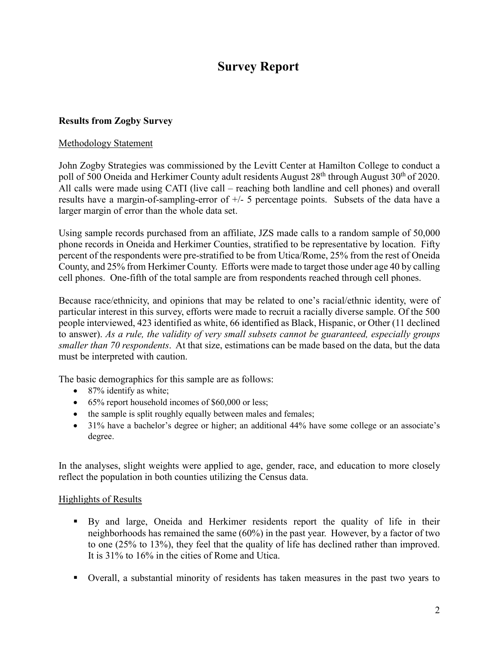# **Survey Report**

# **Results from Zogby Survey**

#### Methodology Statement

John Zogby Strategies was commissioned by the Levitt Center at Hamilton College to conduct a poll of 500 Oneida and Herkimer County adult residents August 28<sup>th</sup> through August 30<sup>th</sup> of 2020. All calls were made using CATI (live call – reaching both landline and cell phones) and overall results have a margin-of-sampling-error of  $+/-$  5 percentage points. Subsets of the data have a larger margin of error than the whole data set.

Using sample records purchased from an affiliate, JZS made calls to a random sample of 50,000 phone records in Oneida and Herkimer Counties, stratified to be representative by location. Fifty percent of the respondents were pre-stratified to be from Utica/Rome, 25% from the rest of Oneida County, and 25% from Herkimer County. Efforts were made to target those under age 40 by calling cell phones. One-fifth of the total sample are from respondents reached through cell phones.

Because race/ethnicity, and opinions that may be related to one's racial/ethnic identity, were of particular interest in this survey, efforts were made to recruit a racially diverse sample. Of the 500 people interviewed, 423 identified as white, 66 identified as Black, Hispanic, or Other (11 declined to answer). *As a rule, the validity of very small subsets cannot be guaranteed, especially groups smaller than 70 respondents*. At that size, estimations can be made based on the data, but the data must be interpreted with caution.

The basic demographics for this sample are as follows:

- 87% identify as white;
- 65% report household incomes of \$60,000 or less;
- the sample is split roughly equally between males and females;
- 31% have a bachelor's degree or higher; an additional 44% have some college or an associate's degree.

In the analyses, slight weights were applied to age, gender, race, and education to more closely reflect the population in both counties utilizing the Census data.

# Highlights of Results

- By and large, Oneida and Herkimer residents report the quality of life in their neighborhoods has remained the same (60%) in the past year. However, by a factor of two to one (25% to 13%), they feel that the quality of life has declined rather than improved. It is 31% to 16% in the cities of Rome and Utica.
- Overall, a substantial minority of residents has taken measures in the past two years to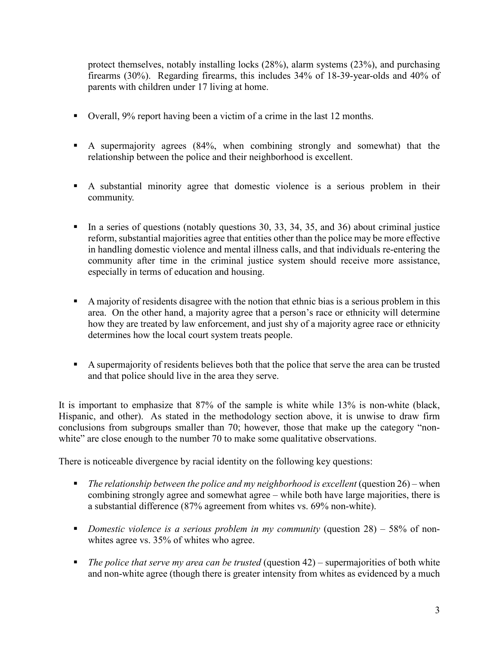protect themselves, notably installing locks (28%), alarm systems (23%), and purchasing firearms (30%). Regarding firearms, this includes 34% of 18-39-year-olds and 40% of parents with children under 17 living at home.

- Overall, 9% report having been a victim of a crime in the last 12 months.
- A supermajority agrees (84%, when combining strongly and somewhat) that the relationship between the police and their neighborhood is excellent.
- A substantial minority agree that domestic violence is a serious problem in their community.
- In a series of questions (notably questions 30, 33, 34, 35, and 36) about criminal justice reform, substantial majorities agree that entities other than the police may be more effective in handling domestic violence and mental illness calls, and that individuals re-entering the community after time in the criminal justice system should receive more assistance, especially in terms of education and housing.
- A majority of residents disagree with the notion that ethnic bias is a serious problem in this area. On the other hand, a majority agree that a person's race or ethnicity will determine how they are treated by law enforcement, and just shy of a majority agree race or ethnicity determines how the local court system treats people.
- A supermajority of residents believes both that the police that serve the area can be trusted and that police should live in the area they serve.

It is important to emphasize that 87% of the sample is white while 13% is non-white (black, Hispanic, and other). As stated in the methodology section above, it is unwise to draw firm conclusions from subgroups smaller than 70; however, those that make up the category "nonwhite" are close enough to the number 70 to make some qualitative observations.

There is noticeable divergence by racial identity on the following key questions:

- *The relationship between the police and my neighborhood is excellent* (question 26) when combining strongly agree and somewhat agree – while both have large majorities, there is a substantial difference (87% agreement from whites vs. 69% non-white).
- *Domestic violence is a serious problem in my community* (question 28) 58% of nonwhites agree vs. 35% of whites who agree.
- *The police that serve my area can be trusted* (question 42) supermajorities of both white and non-white agree (though there is greater intensity from whites as evidenced by a much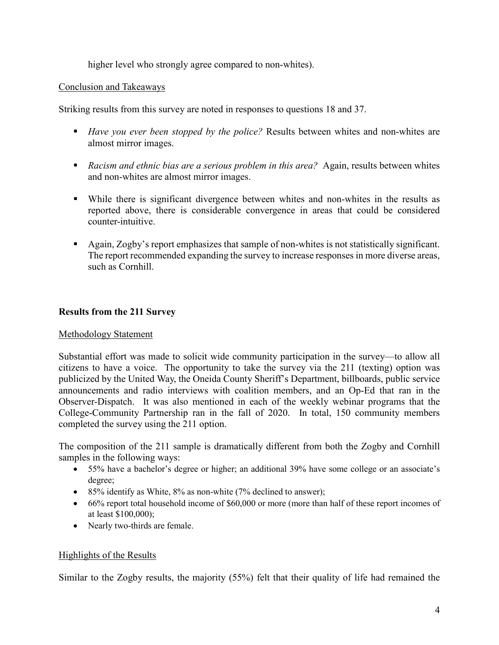higher level who strongly agree compared to non-whites).

#### Conclusion and Takeaways

Striking results from this survey are noted in responses to questions 18 and 37.

- *Have you ever been stopped by the police?* Results between whites and non-whites are almost mirror images.
- **•** Racism and ethnic bias are a serious problem in this area? Again, results between whites and non-whites are almost mirror images.
- While there is significant divergence between whites and non-whites in the results as reported above, there is considerable convergence in areas that could be considered counter-intuitive.
- Again, Zogby's report emphasizes that sample of non-whites is not statistically significant. The report recommended expanding the survey to increase responses in more diverse areas, such as Cornhill.

# **Results from the 211 Survey**

#### Methodology Statement

Substantial effort was made to solicit wide community participation in the survey—to allow all citizens to have a voice. The opportunity to take the survey via the 211 (texting) option was publicized by the United Way, the Oneida County Sheriff's Department, billboards, public service announcements and radio interviews with coalition members, and an Op-Ed that ran in the Observer-Dispatch. It was also mentioned in each of the weekly webinar programs that the College-Community Partnership ran in the fall of 2020. In total, 150 community members completed the survey using the 211 option.

The composition of the 211 sample is dramatically different from both the Zogby and Cornhill samples in the following ways:

- 55% have a bachelor's degree or higher; an additional 39% have some college or an associate's degree;
- 85% identify as White, 8% as non-white (7% declined to answer);
- 66% report total household income of \$60,000 or more (more than half of these report incomes of at least \$100,000);
- Nearly two-thirds are female.

# Highlights of the Results

Similar to the Zogby results, the majority (55%) felt that their quality of life had remained the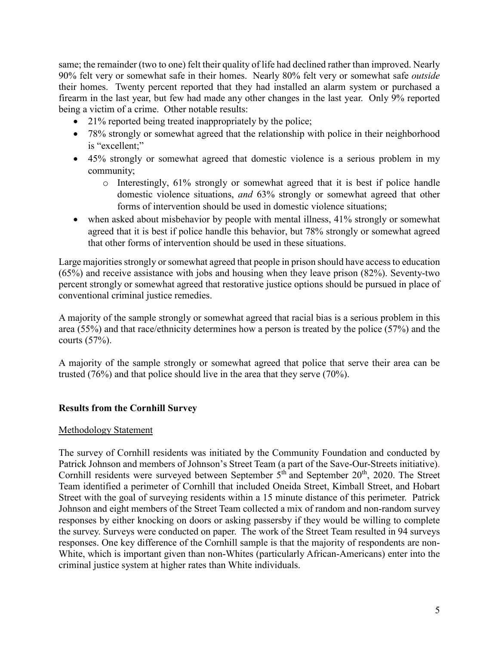same; the remainder (two to one) felt their quality of life had declined rather than improved. Nearly 90% felt very or somewhat safe in their homes. Nearly 80% felt very or somewhat safe *outside* their homes. Twenty percent reported that they had installed an alarm system or purchased a firearm in the last year, but few had made any other changes in the last year. Only 9% reported being a victim of a crime. Other notable results:

- 21% reported being treated inappropriately by the police;
- 78% strongly or somewhat agreed that the relationship with police in their neighborhood is "excellent;"
- 45% strongly or somewhat agreed that domestic violence is a serious problem in my community;
	- o Interestingly, 61% strongly or somewhat agreed that it is best if police handle domestic violence situations, *and* 63% strongly or somewhat agreed that other forms of intervention should be used in domestic violence situations;
- when asked about misbehavior by people with mental illness, 41% strongly or somewhat agreed that it is best if police handle this behavior, but 78% strongly or somewhat agreed that other forms of intervention should be used in these situations.

Large majorities strongly or somewhat agreed that people in prison should have access to education (65%) and receive assistance with jobs and housing when they leave prison (82%). Seventy-two percent strongly or somewhat agreed that restorative justice options should be pursued in place of conventional criminal justice remedies.

A majority of the sample strongly or somewhat agreed that racial bias is a serious problem in this area (55%) and that race/ethnicity determines how a person is treated by the police (57%) and the courts (57%).

A majority of the sample strongly or somewhat agreed that police that serve their area can be trusted (76%) and that police should live in the area that they serve (70%).

# **Results from the Cornhill Survey**

#### Methodology Statement

The survey of Cornhill residents was initiated by the Community Foundation and conducted by Patrick Johnson and members of Johnson's Street Team (a part of the Save-Our-Streets initiative). Cornhill residents were surveyed between September  $5<sup>th</sup>$  and September 20<sup>th</sup>, 2020. The Street Team identified a perimeter of Cornhill that included Oneida Street, Kimball Street, and Hobart Street with the goal of surveying residents within a 15 minute distance of this perimeter. Patrick Johnson and eight members of the Street Team collected a mix of random and non-random survey responses by either knocking on doors or asking passersby if they would be willing to complete the survey. Surveys were conducted on paper. The work of the Street Team resulted in 94 surveys responses. One key difference of the Cornhill sample is that the majority of respondents are non-White, which is important given than non-Whites (particularly African-Americans) enter into the criminal justice system at higher rates than White individuals.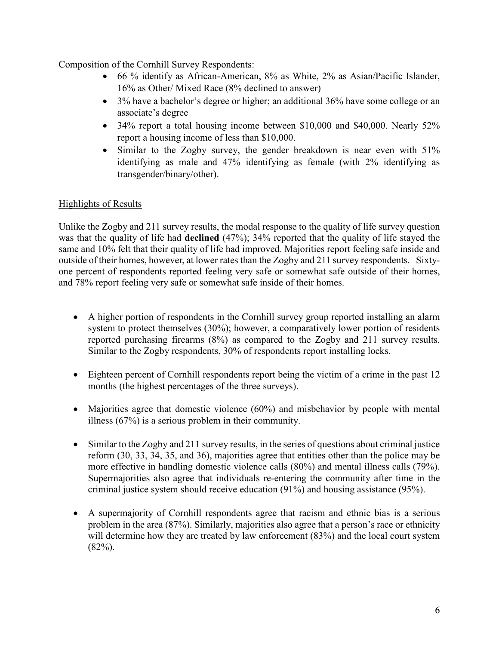Composition of the Cornhill Survey Respondents:

- 66 % identify as African-American, 8% as White, 2% as Asian/Pacific Islander, 16% as Other/ Mixed Race (8% declined to answer)
- 3% have a bachelor's degree or higher; an additional 36% have some college or an associate's degree
- 34% report a total housing income between \$10,000 and \$40,000. Nearly 52% report a housing income of less than \$10,000.
- Similar to the Zogby survey, the gender breakdown is near even with 51% identifying as male and 47% identifying as female (with 2% identifying as transgender/binary/other).

# Highlights of Results

Unlike the Zogby and 211 survey results, the modal response to the quality of life survey question was that the quality of life had **declined** (47%); 34% reported that the quality of life stayed the same and 10% felt that their quality of life had improved. Majorities report feeling safe inside and outside of their homes, however, at lower rates than the Zogby and 211 survey respondents. Sixtyone percent of respondents reported feeling very safe or somewhat safe outside of their homes, and 78% report feeling very safe or somewhat safe inside of their homes.

- A higher portion of respondents in the Cornhill survey group reported installing an alarm system to protect themselves (30%); however, a comparatively lower portion of residents reported purchasing firearms (8%) as compared to the Zogby and 211 survey results. Similar to the Zogby respondents, 30% of respondents report installing locks.
- Eighteen percent of Cornhill respondents report being the victim of a crime in the past 12 months (the highest percentages of the three surveys).
- Majorities agree that domestic violence (60%) and misbehavior by people with mental illness (67%) is a serious problem in their community.
- Similar to the Zogby and 211 survey results, in the series of questions about criminal justice reform (30, 33, 34, 35, and 36), majorities agree that entities other than the police may be more effective in handling domestic violence calls (80%) and mental illness calls (79%). Supermajorities also agree that individuals re-entering the community after time in the criminal justice system should receive education (91%) and housing assistance (95%).
- A supermajority of Cornhill respondents agree that racism and ethnic bias is a serious problem in the area (87%). Similarly, majorities also agree that a person's race or ethnicity will determine how they are treated by law enforcement (83%) and the local court system  $(82\%)$ .